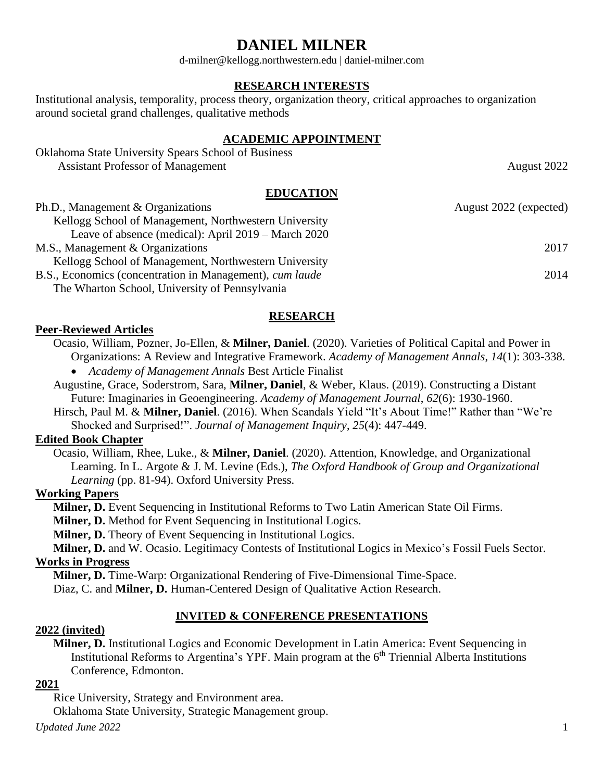# **DANIEL MILNER**

d-milner@kellogg.northwestern.edu | daniel-milner.com

## **RESEARCH INTERESTS**

Institutional analysis, temporality, process theory, organization theory, critical approaches to organization around societal grand challenges, qualitative methods

## **ACADEMIC APPOINTMENT**

| <b>Oklahoma State University Spears School of Business</b> |             |
|------------------------------------------------------------|-------------|
| <b>Assistant Professor of Management</b>                   | August 2022 |
| <b>EDUCATION</b>                                           |             |

| Ph.D., Management & Organizations                               | August 2022 (expected) |
|-----------------------------------------------------------------|------------------------|
| Kellogg School of Management, Northwestern University           |                        |
| Leave of absence (medical): April $2019 - \text{March } 2020$   |                        |
| M.S., Management & Organizations                                | 2017                   |
| Kellogg School of Management, Northwestern University           |                        |
| B.S., Economics (concentration in Management), <i>cum laude</i> | 2014                   |
| The Wharton School, University of Pennsylvania                  |                        |

## **RESEARCH**

## **Peer-Reviewed Articles**

Ocasio, William, Pozner, Jo-Ellen, & **Milner, Daniel**. (2020). Varieties of Political Capital and Power in

Organizations: A Review and Integrative Framework. *Academy of Management Annals*, *14*(1): 303-338. • *Academy of Management Annals* Best Article Finalist

Augustine, Grace, Soderstrom, Sara, **Milner, Daniel**, & Weber, Klaus. (2019). Constructing a Distant Future: Imaginaries in Geoengineering. *Academy of Management Journal*, *62*(6): 1930-1960.

Hirsch, Paul M. & **Milner, Daniel**. (2016). When Scandals Yield "It's About Time!" Rather than "We're Shocked and Surprised!". *Journal of Management Inquiry*, *25*(4): 447-449.

## **Edited Book Chapter**

Ocasio, William, Rhee, Luke., & **Milner, Daniel**. (2020). Attention, Knowledge, and Organizational Learning. In L. Argote & J. M. Levine (Eds.), *The Oxford Handbook of Group and Organizational Learning* (pp. 81-94). Oxford University Press.

## **Working Papers**

**Milner, D.** Event Sequencing in Institutional Reforms to Two Latin American State Oil Firms.

**Milner, D.** Method for Event Sequencing in Institutional Logics.

**Milner, D.** Theory of Event Sequencing in Institutional Logics.

**Milner, D.** and W. Ocasio. Legitimacy Contests of Institutional Logics in Mexico's Fossil Fuels Sector. **Works in Progress**

**Milner, D.** Time-Warp: Organizational Rendering of Five-Dimensional Time-Space.

Diaz, C. and **Milner, D.** Human-Centered Design of Qualitative Action Research.

## **INVITED & CONFERENCE PRESENTATIONS**

#### **2022 (invited)**

**Milner, D.** Institutional Logics and Economic Development in Latin America: Event Sequencing in Institutional Reforms to Argentina's YPF. Main program at the 6<sup>th</sup> Triennial Alberta Institutions Conference, Edmonton.

### **2021**

Rice University, Strategy and Environment area. Oklahoma State University, Strategic Management group.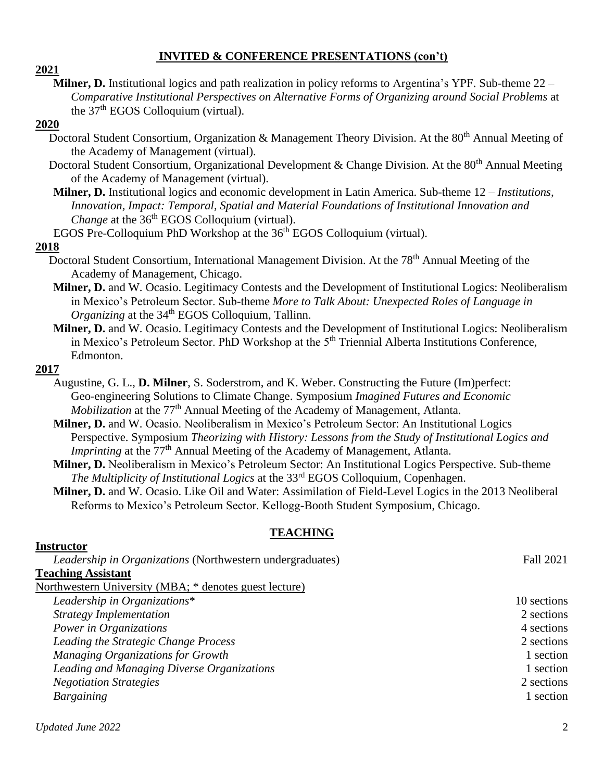## **INVITED & CONFERENCE PRESENTATIONS (con't)**

**2021**

**Milner, D.** Institutional logics and path realization in policy reforms to Argentina's YPF. Sub-theme 22 – *Comparative Institutional Perspectives on Alternative Forms of Organizing around Social Problems* at the 37<sup>th</sup> EGOS Colloquium (virtual).

#### **2020**

- Doctoral Student Consortium, Organization & Management Theory Division. At the 80<sup>th</sup> Annual Meeting of the Academy of Management (virtual).
- Doctoral Student Consortium, Organizational Development & Change Division. At the 80<sup>th</sup> Annual Meeting of the Academy of Management (virtual).
- **Milner, D.** Institutional logics and economic development in Latin America. Sub-theme 12 *Institutions, Innovation, Impact: Temporal, Spatial and Material Foundations of Institutional Innovation and Change* at the 36<sup>th</sup> EGOS Colloquium (virtual).
- EGOS Pre-Colloquium PhD Workshop at the 36<sup>th</sup> EGOS Colloquium (virtual).

#### **2018**

- Doctoral Student Consortium, International Management Division. At the 78<sup>th</sup> Annual Meeting of the Academy of Management, Chicago.
- **Milner, D.** and W. Ocasio. Legitimacy Contests and the Development of Institutional Logics: Neoliberalism in Mexico's Petroleum Sector. Sub-theme *More to Talk About: Unexpected Roles of Language in Organizing* at the 34<sup>th</sup> EGOS Colloquium, Tallinn.
- **Milner, D.** and W. Ocasio. Legitimacy Contests and the Development of Institutional Logics: Neoliberalism in Mexico's Petroleum Sector. PhD Workshop at the 5<sup>th</sup> Triennial Alberta Institutions Conference, Edmonton.

#### **2017**

**Instructor**

- Augustine, G. L., **D. Milner**, S. Soderstrom, and K. Weber. Constructing the Future (Im)perfect: Geo-engineering Solutions to Climate Change. Symposium *Imagined Futures and Economic Mobilization* at the 77<sup>th</sup> Annual Meeting of the Academy of Management, Atlanta.
- **Milner, D.** and W. Ocasio. Neoliberalism in Mexico's Petroleum Sector: An Institutional Logics Perspective. Symposium *Theorizing with History: Lessons from the Study of Institutional Logics and Imprinting* at the 77<sup>th</sup> Annual Meeting of the Academy of Management, Atlanta.
- **Milner, D.** Neoliberalism in Mexico's Petroleum Sector: An Institutional Logics Perspective. Sub-theme *The Multiplicity of Institutional Logics* at the 33<sup>rd</sup> EGOS Colloquium, Copenhagen.
- **Milner, D.** and W. Ocasio. Like Oil and Water: Assimilation of Field-Level Logics in the 2013 Neoliberal Reforms to Mexico's Petroleum Sector. Kellogg-Booth Student Symposium, Chicago.

## **TEACHING**

| məu uctvi                                                        |             |
|------------------------------------------------------------------|-------------|
| <i>Leadership in Organizations</i> (Northwestern undergraduates) | Fall 2021   |
| <b>Teaching Assistant</b>                                        |             |
| Northwestern University (MBA; * denotes guest lecture)           |             |
| Leadership in Organizations*                                     | 10 sections |
| <b>Strategy Implementation</b>                                   | 2 sections  |
| Power in Organizations                                           | 4 sections  |
| Leading the Strategic Change Process                             | 2 sections  |
| Managing Organizations for Growth                                | 1 section   |
| Leading and Managing Diverse Organizations                       | 1 section   |
| <b>Negotiation Strategies</b>                                    | 2 sections  |
| Bargaining                                                       | 1 section   |
|                                                                  |             |